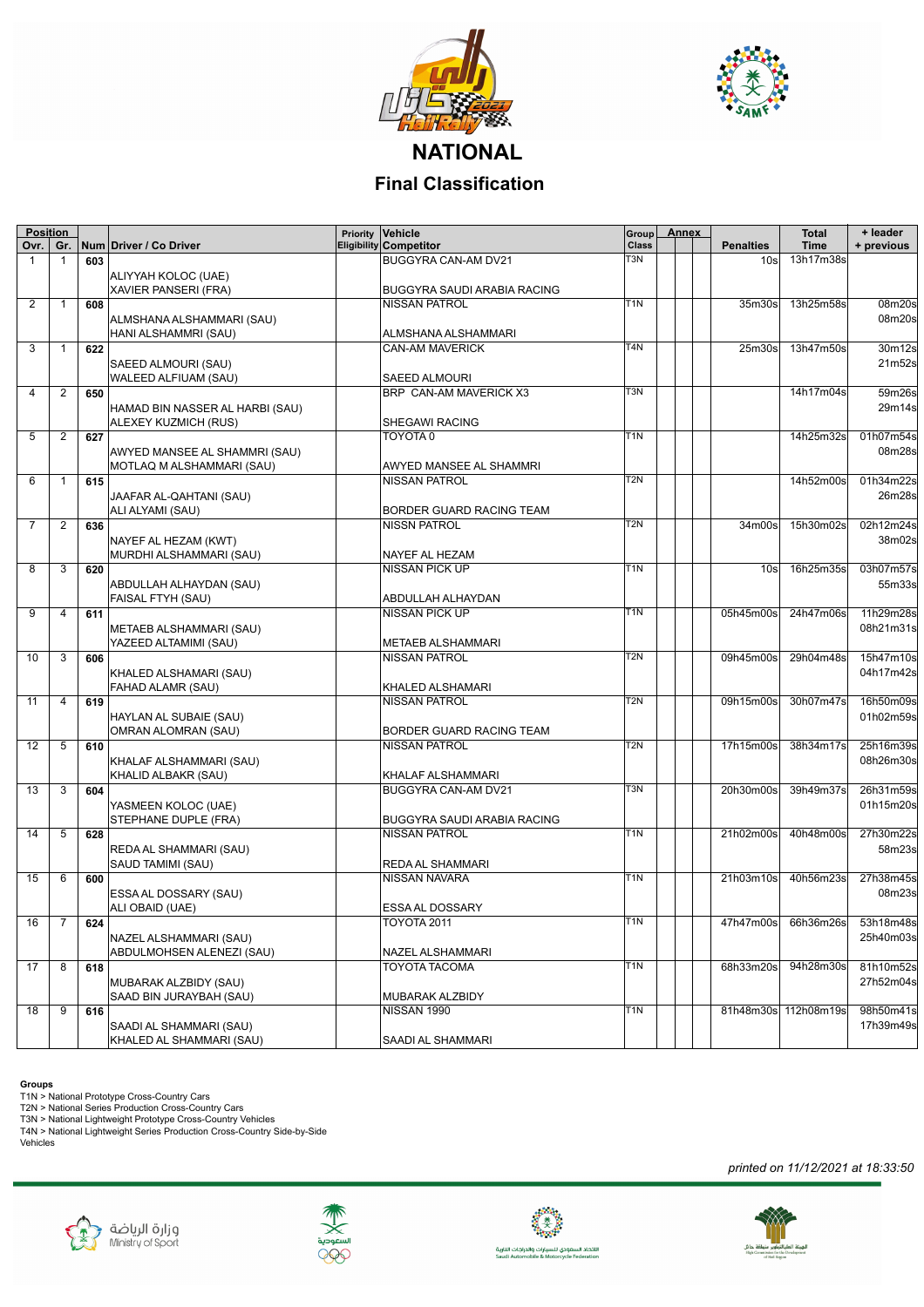



**NATIONAL Final Classification**

| <b>Position</b><br>0vr. | Gr.            |     | Num Driver / Co Driver                      | Priority | Vehicle<br><b>Eligibility Competitor</b> | Group<br>Class   | <b>Annex</b> | <b>Penalties</b>   | <b>Total</b><br><b>Time</b> | + leader<br>+ previous |
|-------------------------|----------------|-----|---------------------------------------------|----------|------------------------------------------|------------------|--------------|--------------------|-----------------------------|------------------------|
| 1                       | $\mathbf{1}$   | 603 |                                             |          | BUGGYRA CAN-AM DV21                      | T3N              |              | 10 <sub>s</sub>    | 13h17m38s                   |                        |
|                         |                |     |                                             |          |                                          |                  |              |                    |                             |                        |
|                         |                |     | ALIYYAH KOLOC (UAE)<br>XAVIER PANSERI (FRA) |          | BUGGYRA SAUDI ARABIA RACING              |                  |              |                    |                             |                        |
| 2                       | $\mathbf{1}$   | 608 |                                             |          | <b>NISSAN PATROL</b>                     | T <sub>1</sub> N |              | 35m30s             | 13h25m58s                   | 08m20s                 |
|                         |                |     |                                             |          |                                          |                  |              |                    |                             | 08m20s                 |
|                         |                |     | ALMSHANA ALSHAMMARI (SAU)                   |          | ALMSHANA ALSHAMMARI                      |                  |              |                    |                             |                        |
| 3                       | 1              | 622 | HANI ALSHAMMRI (SAU)                        |          | <b>CAN-AM MAVERICK</b>                   | T <sub>4</sub> N |              | 25 <sub>m30s</sub> | 13h47m50s                   | 30m12s                 |
|                         |                |     |                                             |          |                                          |                  |              |                    |                             | 21m52s                 |
|                         |                |     | SAEED ALMOURI (SAU)<br>WALEED ALFIUAM (SAU) |          | <b>SAEED ALMOURI</b>                     |                  |              |                    |                             |                        |
| 4                       | 2              | 650 |                                             |          | BRP CAN-AM MAVERICK X3                   | T3N              |              |                    | 14h17m04s                   | 59m26s                 |
|                         |                |     | HAMAD BIN NASSER AL HARBI (SAU)             |          |                                          |                  |              |                    |                             | 29m14s                 |
|                         |                |     | ALEXEY KUZMICH (RUS)                        |          | SHEGAWI RACING                           |                  |              |                    |                             |                        |
| 5                       | 2              | 627 |                                             |          | TOYOTA 0                                 | T <sub>1</sub> N |              |                    | 14h25m32s                   | 01h07m54s              |
|                         |                |     | AWYED MANSEE AL SHAMMRI (SAU)               |          |                                          |                  |              |                    |                             | 08m28s                 |
|                         |                |     | MOTLAQ M ALSHAMMARI (SAU)                   |          | AWYED MANSEE AL SHAMMRI                  |                  |              |                    |                             |                        |
| 6                       | 1              | 615 |                                             |          | <b>NISSAN PATROL</b>                     | T2N              |              |                    | 14h52m00s                   | 01h34m22s              |
|                         |                |     | JAAFAR AL-QAHTANI (SAU)                     |          |                                          |                  |              |                    |                             | 26m28s                 |
|                         |                |     | ALI ALYAMI (SAU)                            |          | BORDER GUARD RACING TEAM                 |                  |              |                    |                             |                        |
| 7                       | 2              | 636 |                                             |          | <b>NISSN PATROL</b>                      | T <sub>2N</sub>  |              | 34m00s             | 15h30m02s                   | 02h12m24s              |
|                         |                |     | NAYEF AL HEZAM (KWT)                        |          |                                          |                  |              |                    |                             | 38m02s                 |
|                         |                |     | MURDHI ALSHAMMARI (SAU)                     |          | NAYEF AL HEZAM                           |                  |              |                    |                             |                        |
| 8                       | 3              | 620 |                                             |          | NISSAN PICK UP                           | T <sub>1</sub> N |              | 10s                | 16h25m35s                   | 03h07m57s              |
|                         |                |     | ABDULLAH ALHAYDAN (SAU)                     |          |                                          |                  |              |                    |                             | 55m33s                 |
|                         |                |     | FAISAL FTYH (SAU)                           |          | ABDULLAH ALHAYDAN                        |                  |              |                    |                             |                        |
| 9                       | 4              | 611 |                                             |          | <b>NISSAN PICK UP</b>                    | T <sub>1</sub> N |              | 05h45m00s          | 24h47m06s                   | 11h29m28s              |
|                         |                |     | METAEB ALSHAMMARI (SAU)                     |          |                                          |                  |              |                    |                             | 08h21m31s              |
|                         |                |     | YAZEED ALTAMIMI (SAU)                       |          | <b>METAEB ALSHAMMARI</b>                 |                  |              |                    |                             |                        |
| 10                      | 3              | 606 |                                             |          | <b>NISSAN PATROL</b>                     | T <sub>2</sub> N |              | 09h45m00s          | 29h04m48s                   | 15h47m10s              |
|                         |                |     | KHALED ALSHAMARI (SAU)                      |          |                                          |                  |              |                    |                             | 04h17m42s              |
|                         |                |     | FAHAD ALAMR (SAU)                           |          | KHALED ALSHAMARI                         |                  |              |                    |                             |                        |
| 11                      | $\overline{4}$ | 619 |                                             |          | <b>NISSAN PATROL</b>                     | T <sub>2</sub> N |              | 09h15m00s          | 30h07m47s                   | 16h50m09s              |
|                         |                |     | HAYLAN AL SUBAIE (SAU)                      |          |                                          |                  |              |                    |                             | 01h02m59s              |
|                         |                |     | <b>OMRAN ALOMRAN (SAU)</b>                  |          | BORDER GUARD RACING TEAM                 |                  |              |                    |                             |                        |
| 12                      | 5              | 610 |                                             |          | <b>NISSAN PATROL</b>                     | T2N              |              | 17h15m00s          | 38h34m17s                   | 25h16m39s              |
|                         |                |     | KHALAF ALSHAMMARI (SAU)                     |          |                                          |                  |              |                    |                             | 08h26m30s              |
|                         |                |     | KHALID ALBAKR (SAU)                         |          | KHALAF ALSHAMMARI                        |                  |              |                    |                             |                        |
| 13                      | 3              | 604 |                                             |          | BUGGYRA CAN-AM DV21                      | T <sub>3</sub> N |              | 20h30m00s          | 39h49m37s                   | 26h31m59s              |
|                         |                |     | YASMEEN KOLOC (UAE)                         |          |                                          |                  |              |                    |                             | 01h15m20s              |
|                         |                |     | STEPHANE DUPLE (FRA)                        |          | <b>BUGGYRA SAUDI ARABIA RACING</b>       |                  |              |                    |                             |                        |
| 14                      | 5              | 628 |                                             |          | <b>NISSAN PATROL</b>                     | T1N              |              | 21h02m00s          | 40h48m00s                   | 27h30m22s              |
|                         |                |     | REDA AL SHAMMARI (SAU)                      |          |                                          |                  |              |                    |                             | 58m23s                 |
|                         |                |     | SAUD TAMIMI (SAU)                           |          | REDA AL SHAMMARI                         |                  |              |                    |                             |                        |
| 15                      | 6              | 600 |                                             |          | <b>NISSAN NAVARA</b>                     | T1N              |              | 21h03m10s          | 40h56m23s                   | 27h38m45s              |
|                         |                |     | ESSA AL DOSSARY (SAU)                       |          |                                          |                  |              |                    |                             | 08m23s                 |
|                         |                |     | ALI OBAID (UAE)                             |          | ESSA AL DOSSARY                          |                  |              |                    |                             |                        |
| 16                      | 7              | 624 |                                             |          | TOYOTA 2011                              | T1N              |              | 47h47m00s          | 66h36m26s                   | 53h18m48s              |
|                         |                |     | NAZEL ALSHAMMARI (SAU)                      |          |                                          |                  |              |                    |                             | 25h40m03s              |
|                         |                |     | ABDULMOHSEN ALENEZI (SAU)                   |          | NAZEL ALSHAMMARI                         |                  |              |                    |                             |                        |
| 17                      | 8              | 618 |                                             |          | <b>TOYOTA TACOMA</b>                     | T <sub>1</sub> N |              | 68h33m20s          | 94h28m30s                   | 81h10m52s              |
|                         |                |     | MUBARAK ALZBIDY (SAU)                       |          |                                          |                  |              |                    |                             | 27h52m04s              |
|                         |                |     | SAAD BIN JURAYBAH (SAU)                     |          | MUBARAK ALZBIDY                          |                  |              |                    |                             |                        |
| 18                      | 9              | 616 |                                             |          | NISSAN 1990                              | T <sub>1</sub> N |              |                    | 81h48m30s 112h08m19s        | 98h50m41s              |
|                         |                |     | SAADI AL SHAMMARI (SAU)                     |          |                                          |                  |              |                    |                             | 17h39m49s              |
|                         |                |     | KHALED AL SHAMMARI (SAU)                    |          | SAADI AL SHAMMARI                        |                  |              |                    |                             |                        |

**Groups**<br>T1N > National Prototype Cross-Country Cars<br>T2N > National Series Production Cross-Country Cars<br>T3N > National Lightweight Prototype Cross-Country Vehicles<br>T4N > National Lightweight Series Production Cross-Countr











الاتحاد السعودي للسيارات والدراجات النارية<br>Saudi Automobile & Motorcycle Federation